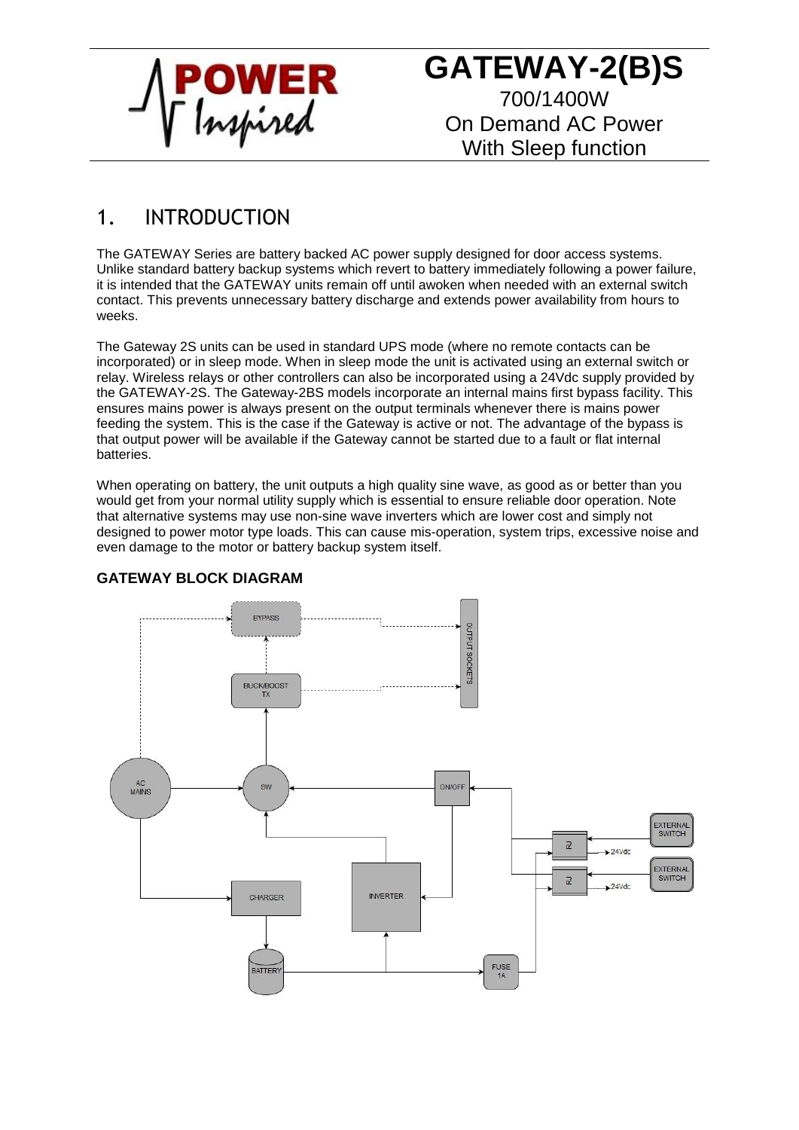

**GATEWAY-2(B)S** 700/1400W On Demand AC Power With Sleep function

### 1. INTRODUCTION

The GATEWAY Series are battery backed AC power supply designed for door access systems. Unlike standard battery backup systems which revert to battery immediately following a power failure, it is intended that the GATEWAY units remain off until awoken when needed with an external switch contact. This prevents unnecessary battery discharge and extends power availability from hours to weeks.

The Gateway 2S units can be used in standard UPS mode (where no remote contacts can be incorporated) or in sleep mode. When in sleep mode the unit is activated using an external switch or relay. Wireless relays or other controllers can also be incorporated using a 24Vdc supply provided by the GATEWAY-2S. The Gateway-2BS models incorporate an internal mains first bypass facility. This ensures mains power is always present on the output terminals whenever there is mains power feeding the system. This is the case if the Gateway is active or not. The advantage of the bypass is that output power will be available if the Gateway cannot be started due to a fault or flat internal batteries.

When operating on battery, the unit outputs a high quality sine wave, as good as or better than you would get from your normal utility supply which is essential to ensure reliable door operation. Note that alternative systems may use non-sine wave inverters which are lower cost and simply not designed to power motor type loads. This can cause mis-operation, system trips, excessive noise and even damage to the motor or battery backup system itself.



#### **GATEWAY BLOCK DIAGRAM**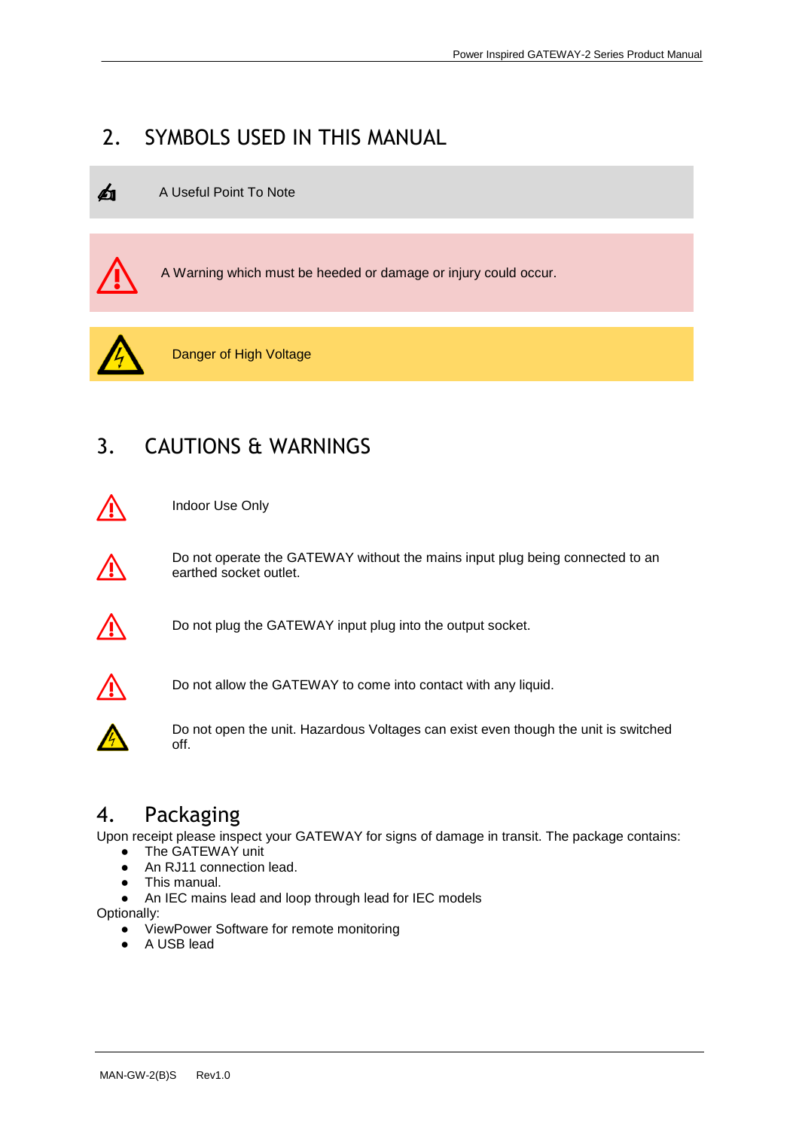## 2. SYMBOLS USED IN THIS MANUAL





⚠ A Warning which must be heeded or damage or injury could occur.



Danger of High Voltage

# 3. CAUTIONS & WARNINGS



⚠ Indoor Use Only



Do not operate the GATEWAY without the mains input plug being connected to an earthed socket outlet.



 $\bigwedge$  Do not plug the GATEWAY input plug into the output socket.



Do not allow the GATEWAY to come into contact with any liquid.



Do not open the unit. Hazardous Voltages can exist even though the unit is switched off.

#### 4. Packaging

Upon receipt please inspect your GATEWAY for signs of damage in transit. The package contains:

- The GATEWAY unit
- An RJ11 connection lead.
- This manual.
- An IEC mains lead and loop through lead for IEC models

Optionally:

- ViewPower Software for remote monitoring
- A USB lead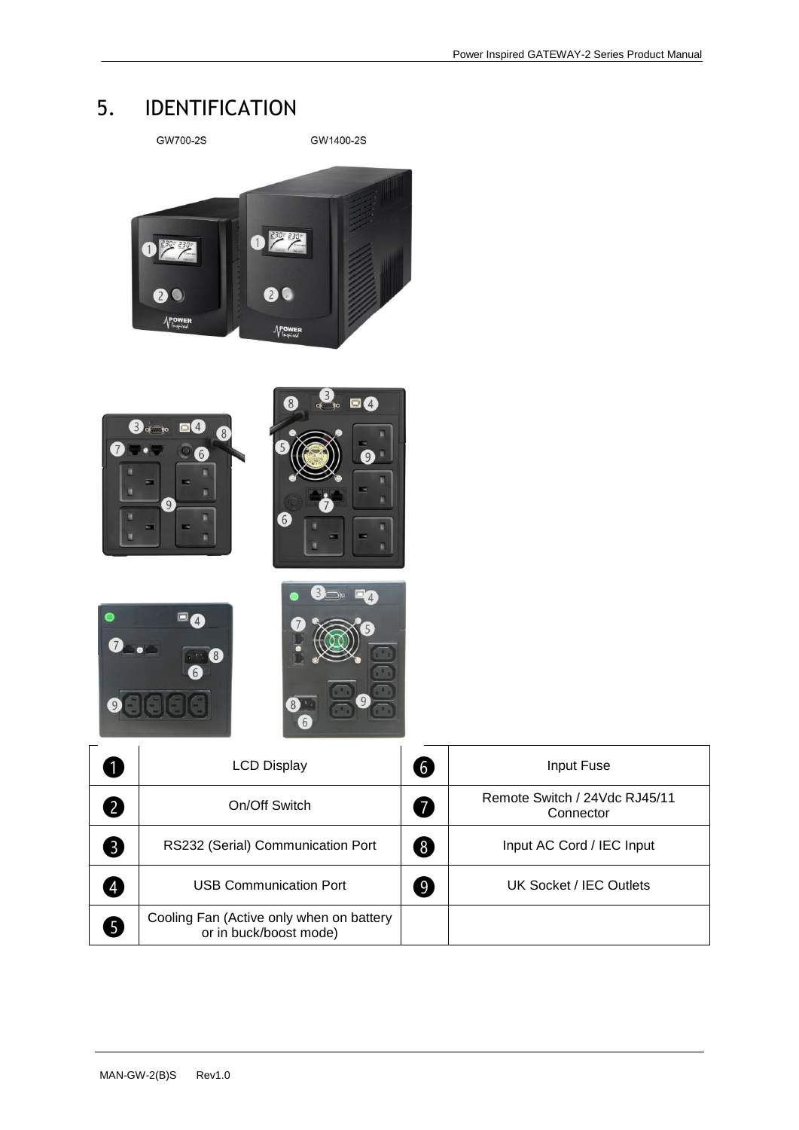**Connector** 

## 5. IDENTIFICATION



Cooling Fan (Active only when on battery or in buck/boost mode)

❺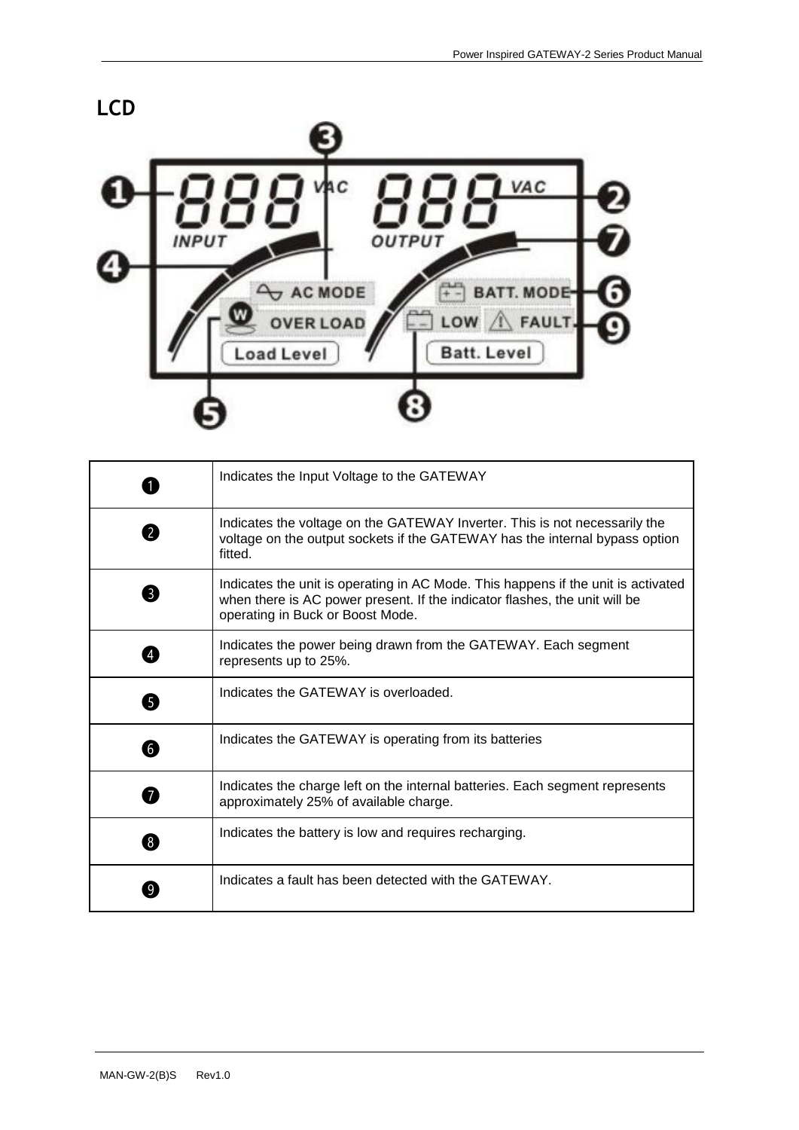

|                | Indicates the Input Voltage to the GATEWAY                                                                                                                                                          |
|----------------|-----------------------------------------------------------------------------------------------------------------------------------------------------------------------------------------------------|
| $\overline{2}$ | Indicates the voltage on the GATEWAY Inverter. This is not necessarily the<br>voltage on the output sockets if the GATEWAY has the internal bypass option<br>fitted.                                |
| 3              | Indicates the unit is operating in AC Mode. This happens if the unit is activated<br>when there is AC power present. If the indicator flashes, the unit will be<br>operating in Buck or Boost Mode. |
|                | Indicates the power being drawn from the GATEWAY. Each segment<br>represents up to 25%.                                                                                                             |
| 6              | Indicates the GATEWAY is overloaded.                                                                                                                                                                |
| 6              | Indicates the GATEWAY is operating from its batteries                                                                                                                                               |
| $\overline{7}$ | Indicates the charge left on the internal batteries. Each segment represents<br>approximately 25% of available charge.                                                                              |
| 8              | Indicates the battery is low and requires recharging.                                                                                                                                               |
|                | Indicates a fault has been detected with the GATEWAY.                                                                                                                                               |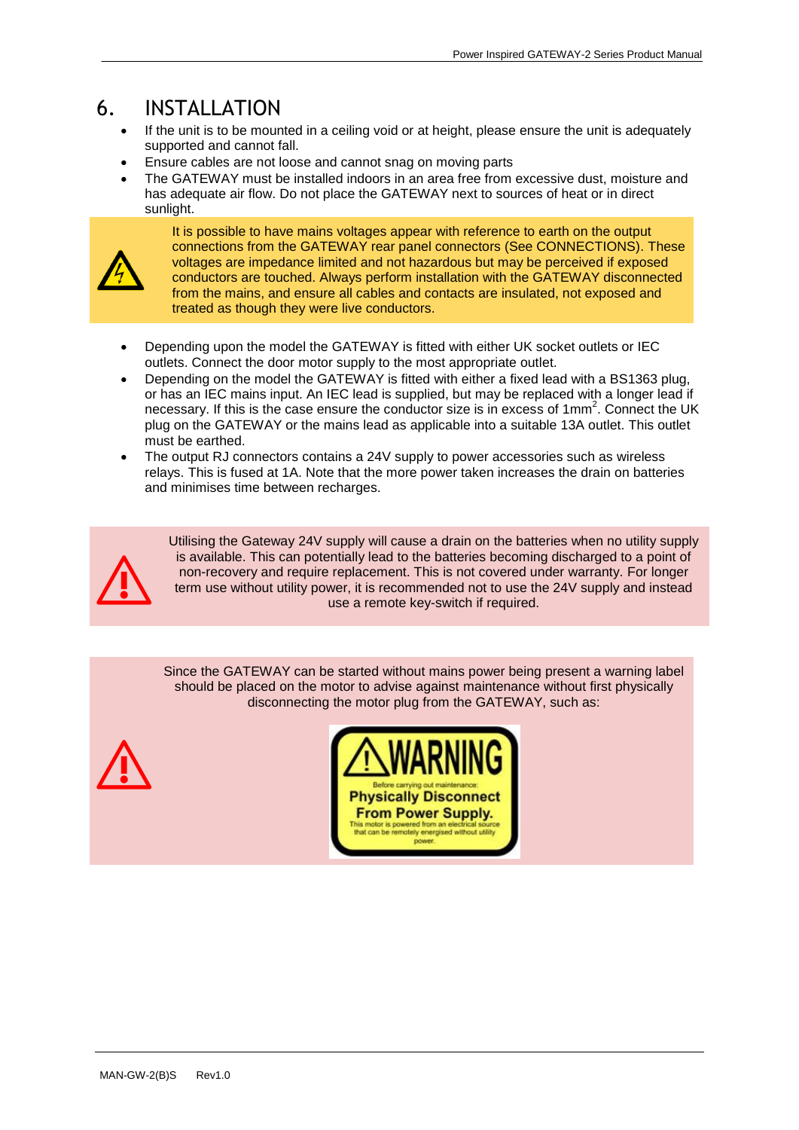#### 6. INSTALLATION

- If the unit is to be mounted in a ceiling void or at height, please ensure the unit is adequately supported and cannot fall.
- Ensure cables are not loose and cannot snag on moving parts
- The GATEWAY must be installed indoors in an area free from excessive dust, moisture and has adequate air flow. Do not place the GATEWAY next to sources of heat or in direct sunlight.



It is possible to have mains voltages appear with reference to earth on the output connections from the GATEWAY rear panel connectors (See CONNECTIONS). These voltages are impedance limited and not hazardous but may be perceived if exposed conductors are touched. Always perform installation with the GATEWAY disconnected from the mains, and ensure all cables and contacts are insulated, not exposed and treated as though they were live conductors.

- Depending upon the model the GATEWAY is fitted with either UK socket outlets or IEC outlets. Connect the door motor supply to the most appropriate outlet.
- Depending on the model the GATEWAY is fitted with either a fixed lead with a BS1363 plug, or has an IEC mains input. An IEC lead is supplied, but may be replaced with a longer lead if necessary. If this is the case ensure the conductor size is in excess of 1mm<sup>2</sup>. Connect the UK plug on the GATEWAY or the mains lead as applicable into a suitable 13A outlet. This outlet must be earthed.
- The output RJ connectors contains a 24V supply to power accessories such as wireless relays. This is fused at 1A. Note that the more power taken increases the drain on batteries and minimises time between recharges.



Utilising the Gateway 24V supply will cause a drain on the batteries when no utility supply is available. This can potentially lead to the batteries becoming discharged to a point of non-recovery and require replacement. This is not covered under warranty. For longer term use without utility power, it is recommended not to use the 24V supply and instead use a remote key-switch if required.

Since the GATEWAY can be started without mains power being present a warning label should be placed on the motor to advise against maintenance without first physically disconnecting the motor plug from the GATEWAY, such as:



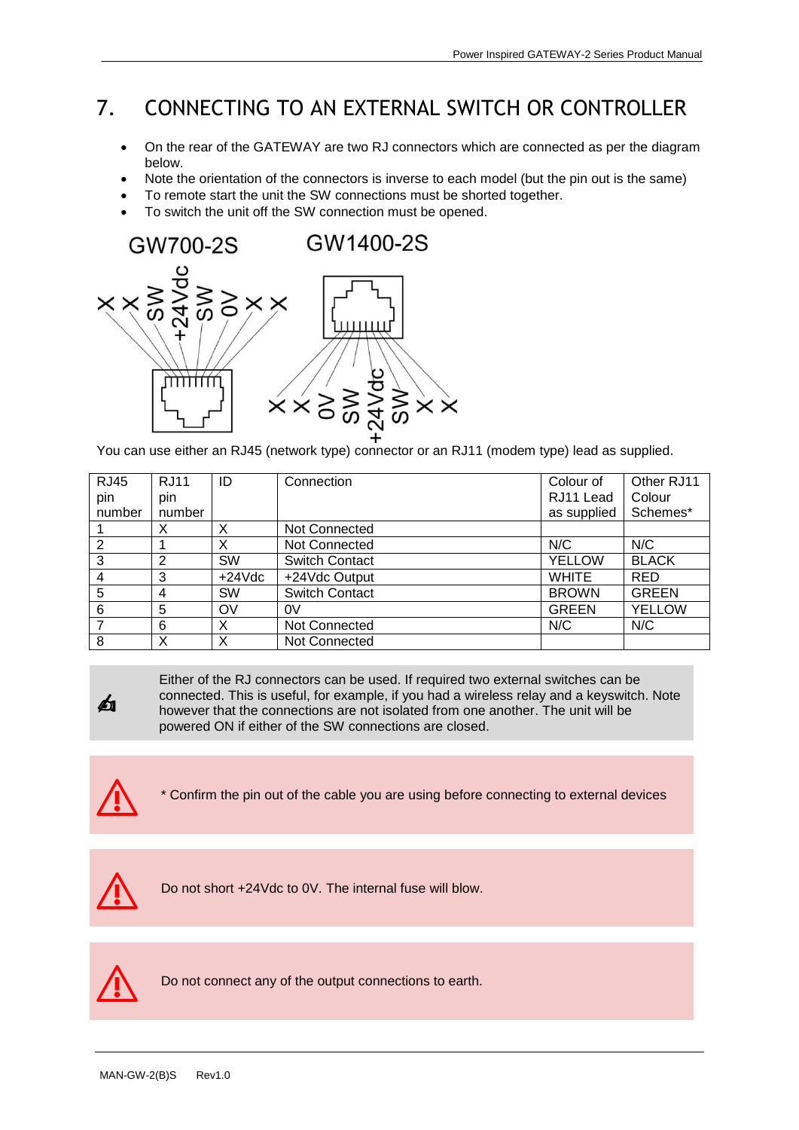## 7. CONNECTING TO AN EXTERNAL SWITCH OR CONTROLLER

- On the rear of the GATEWAY are two RJ connectors which are connected as per the diagram below.
- Note the orientation of the connectors is inverse to each model (but the pin out is the same)
- To remote start the unit the SW connections must be shorted together.
- To switch the unit off the SW connection must be opened.



You can use either an RJ45 (network type) connector or an RJ11 (modem type) lead as supplied.

| <b>RJ45</b>    | <b>RJ11</b> | ID        | Connection            | Colour of     | Other RJ11    |
|----------------|-------------|-----------|-----------------------|---------------|---------------|
| pin            | pin         |           |                       | RJ11 Lead     | Colour        |
| number         | number      |           |                       | as supplied   | Schemes*      |
|                | Х           | х         | Not Connected         |               |               |
| 2              |             | X         | <b>Not Connected</b>  | N/C           | N/C           |
| 3              | 2           | <b>SW</b> | <b>Switch Contact</b> | <b>YELLOW</b> | <b>BLACK</b>  |
| $\overline{4}$ | 3           | $+24Vdc$  | +24Vdc Output         | <b>WHITE</b>  | <b>RED</b>    |
| 5              | 4           | <b>SW</b> | <b>Switch Contact</b> | <b>BROWN</b>  | <b>GREEN</b>  |
| 6              | 5           | OV        | 0V                    | <b>GREEN</b>  | <b>YELLOW</b> |
|                | 6           | х         | <b>Not Connected</b>  | N/C           | N/C           |
| 8              | Χ           | Χ         | <b>Not Connected</b>  |               |               |



Either of the RJ connectors can be used. If required two external switches can be connected. This is useful, for example, if you had a wireless relay and a keyswitch. Note however that the connections are not isolated from one another. The unit will be powered ON if either of the SW connections are closed.



⚠ \* Confirm the pin out of the cable you are using before connecting to external devices



⚠ Do not short +24Vdc to 0V. The internal fuse will blow.



⚠ Do not connect any of the output connections to earth.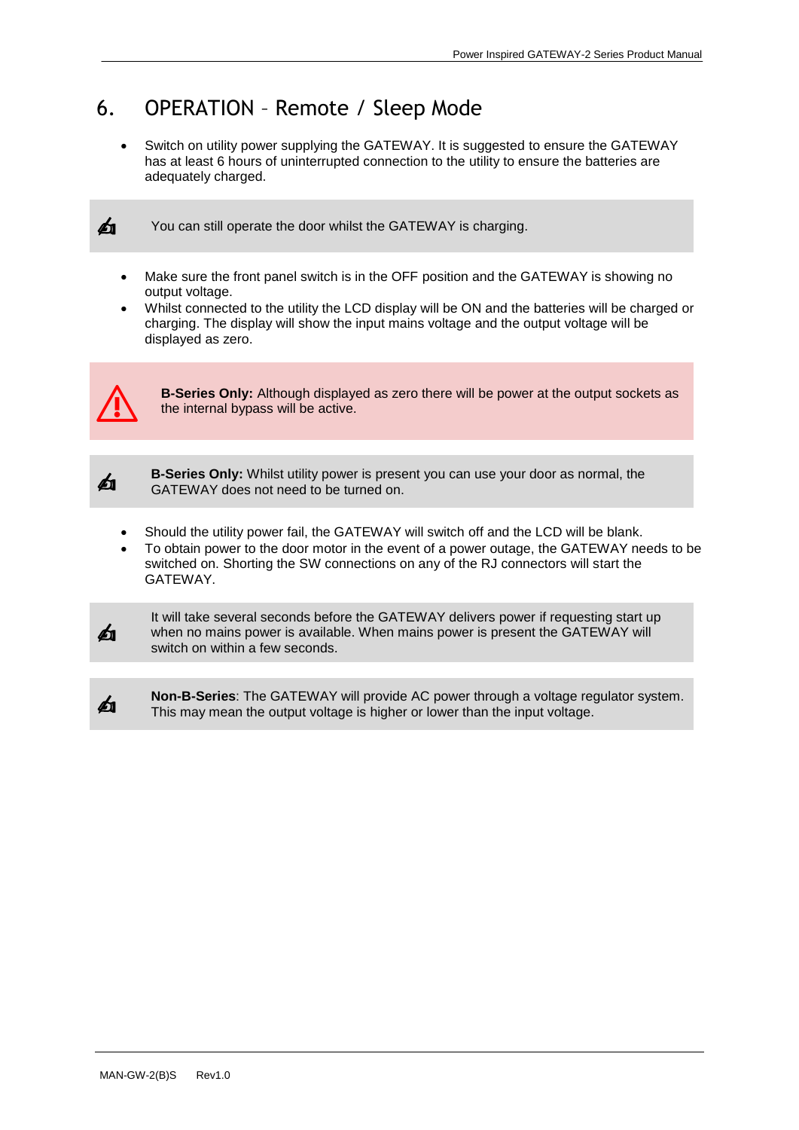### 6. OPERATION – Remote / Sleep Mode

 Switch on utility power supplying the GATEWAY. It is suggested to ensure the GATEWAY has at least 6 hours of uninterrupted connection to the utility to ensure the batteries are adequately charged.



You can still operate the door whilst the GATEWAY is charging.

- Make sure the front panel switch is in the OFF position and the GATEWAY is showing no output voltage.
- Whilst connected to the utility the LCD display will be ON and the batteries will be charged or charging. The display will show the input mains voltage and the output voltage will be displayed as zero.



**B-Series Only:** Although displayed as zero there will be power at the output sockets as the internal bypass will be active.



**B-Series Only:** Whilst utility power is present you can use your door as normal, the GATEWAY does not need to be turned on.

- Should the utility power fail, the GATEWAY will switch off and the LCD will be blank.
- To obtain power to the door motor in the event of a power outage, the GATEWAY needs to be switched on. Shorting the SW connections on any of the RJ connectors will start the GATEWAY.



It will take several seconds before the GATEWAY delivers power if requesting start up when no mains power is available. When mains power is present the GATEWAY will switch on within a few seconds.



**Non-B-Series**: The GATEWAY will provide AC power through a voltage regulator system. This may mean the output voltage is higher or lower than the input voltage.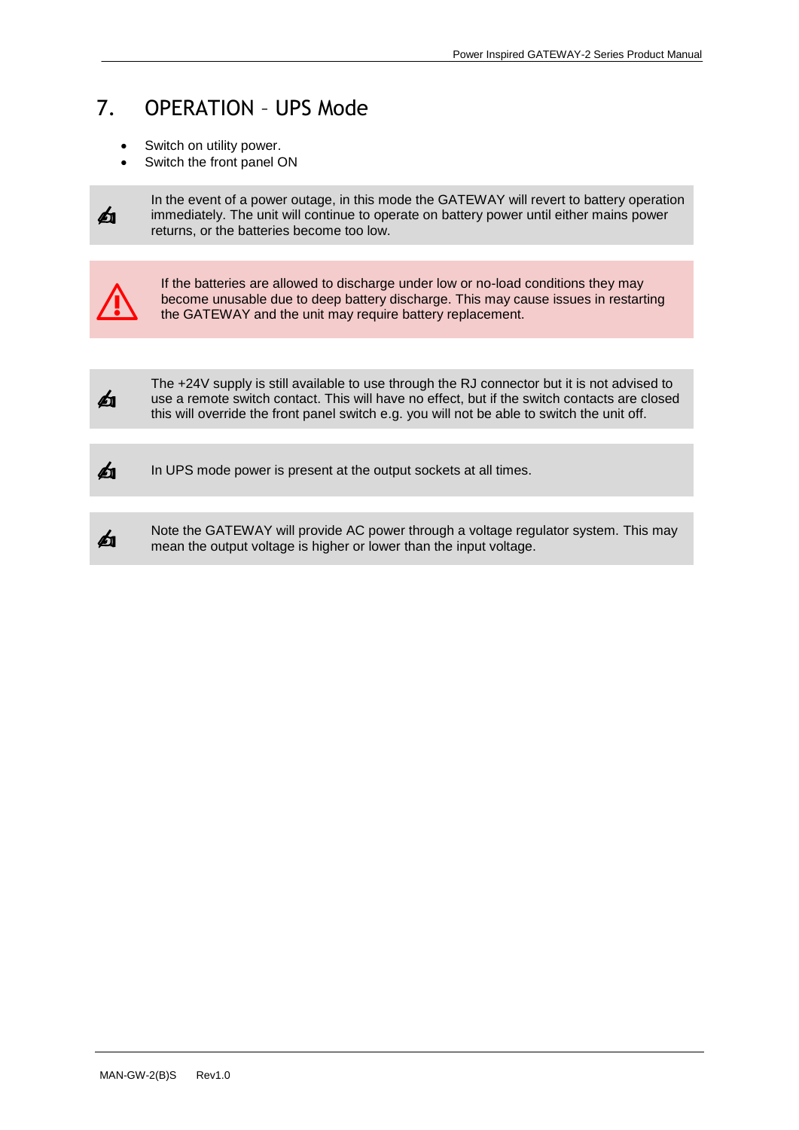### 7. OPERATION – UPS Mode

- Switch on utility power.
- Switch the front panel ON



In the event of a power outage, in this mode the GATEWAY will revert to battery operation immediately. The unit will continue to operate on battery power until either mains power returns, or the batteries become too low.



If the batteries are allowed to discharge under low or no-load conditions they may become unusable due to deep battery discharge. This may cause issues in restarting the GATEWAY and the unit may require battery replacement.



The +24V supply is still available to use through the RJ connector but it is not advised to use a remote switch contact. This will have no effect, but if the switch contacts are closed this will override the front panel switch e.g. you will not be able to switch the unit off.



In UPS mode power is present at the output sockets at all times.

✍

Note the GATEWAY will provide AC power through a voltage regulator system. This may mean the output voltage is higher or lower than the input voltage.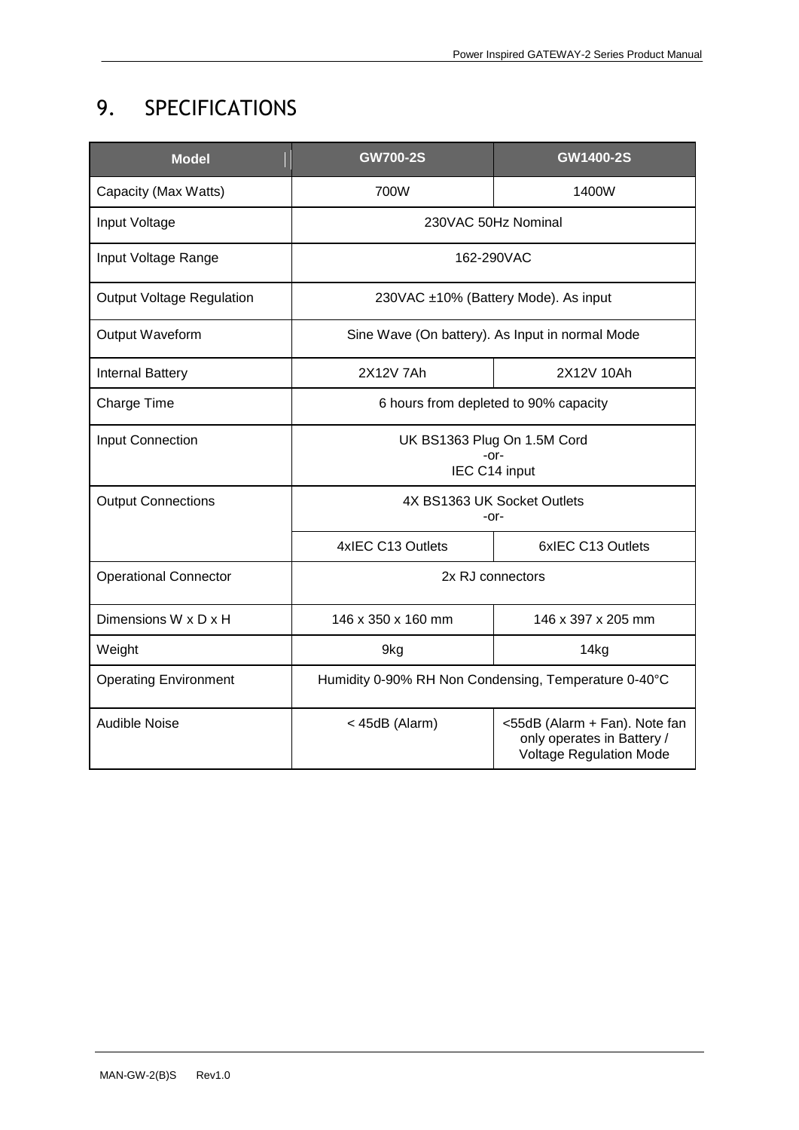## 9. SPECIFICATIONS

| <b>Model</b>                 | <b>GW700-2S</b>                                      | GW1400-2S                                                                                     |  |
|------------------------------|------------------------------------------------------|-----------------------------------------------------------------------------------------------|--|
| Capacity (Max Watts)         | 700W                                                 | 1400W                                                                                         |  |
| Input Voltage                | 230VAC 50Hz Nominal                                  |                                                                                               |  |
| Input Voltage Range          | 162-290VAC                                           |                                                                                               |  |
| Output Voltage Regulation    | 230VAC ±10% (Battery Mode). As input                 |                                                                                               |  |
| Output Waveform              | Sine Wave (On battery). As Input in normal Mode      |                                                                                               |  |
| <b>Internal Battery</b>      | 2X12V 7Ah                                            | 2X12V 10Ah                                                                                    |  |
| Charge Time                  | 6 hours from depleted to 90% capacity                |                                                                                               |  |
| Input Connection             | UK BS1363 Plug On 1.5M Cord                          |                                                                                               |  |
|                              | $-0r-$<br>IEC C14 input                              |                                                                                               |  |
| <b>Output Connections</b>    | 4X BS1363 UK Socket Outlets<br>-or-                  |                                                                                               |  |
|                              | 4xIEC C13 Outlets                                    | 6xIEC C13 Outlets                                                                             |  |
| <b>Operational Connector</b> | 2x RJ connectors                                     |                                                                                               |  |
| Dimensions W x D x H         | 146 x 350 x 160 mm                                   | 146 x 397 x 205 mm                                                                            |  |
| Weight                       | 9kg                                                  | 14kg                                                                                          |  |
| <b>Operating Environment</b> | Humidity 0-90% RH Non Condensing, Temperature 0-40°C |                                                                                               |  |
| <b>Audible Noise</b>         | < 45dB (Alarm)                                       | <55dB (Alarm + Fan). Note fan<br>only operates in Battery /<br><b>Voltage Regulation Mode</b> |  |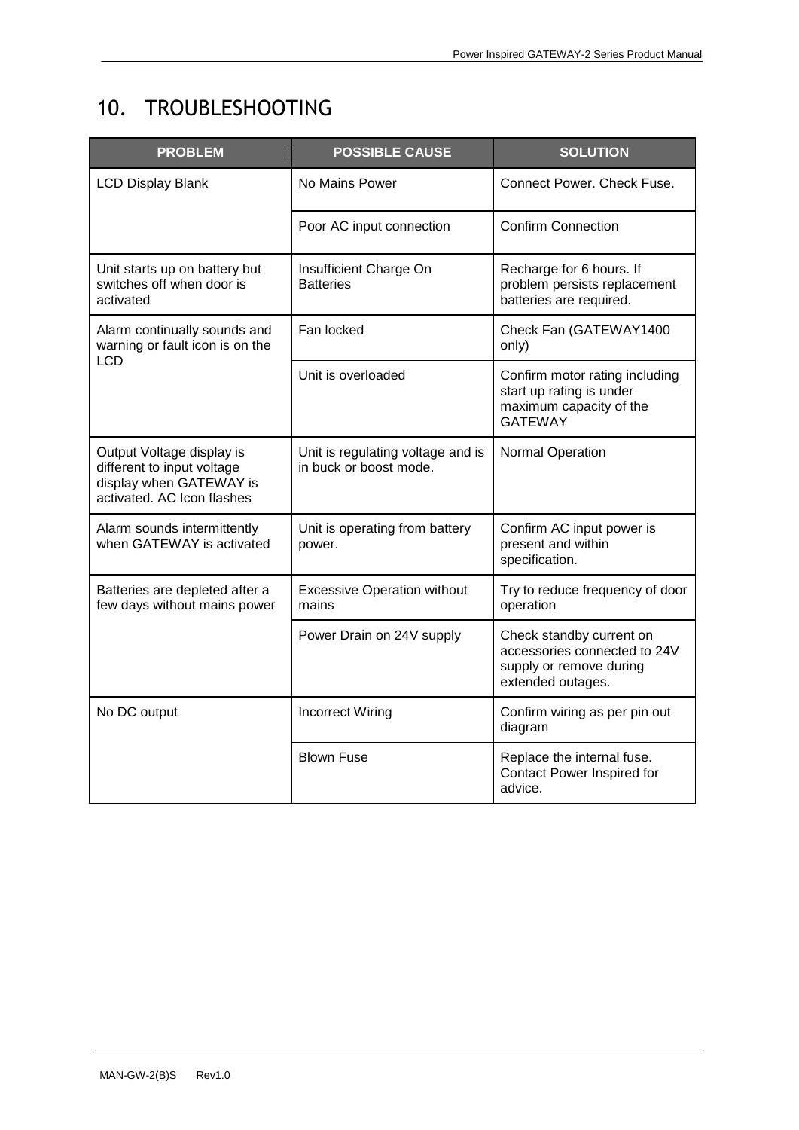## 10. TROUBLESHOOTING

| <b>PROBLEM</b>                                                                                                   | <b>POSSIBLE CAUSE</b>                                       | <b>SOLUTION</b>                                                                                          |  |
|------------------------------------------------------------------------------------------------------------------|-------------------------------------------------------------|----------------------------------------------------------------------------------------------------------|--|
| <b>LCD Display Blank</b>                                                                                         | No Mains Power                                              | Connect Power, Check Fuse.                                                                               |  |
|                                                                                                                  | Poor AC input connection                                    | <b>Confirm Connection</b>                                                                                |  |
| Unit starts up on battery but<br>switches off when door is<br>activated                                          | Insufficient Charge On<br><b>Batteries</b>                  | Recharge for 6 hours. If<br>problem persists replacement<br>batteries are required.                      |  |
| Alarm continually sounds and<br>warning or fault icon is on the<br>LCD.                                          | Fan locked                                                  | Check Fan (GATEWAY1400<br>only)                                                                          |  |
|                                                                                                                  | Unit is overloaded                                          | Confirm motor rating including<br>start up rating is under<br>maximum capacity of the<br><b>GATEWAY</b>  |  |
| Output Voltage display is<br>different to input voltage<br>display when GATEWAY is<br>activated. AC Icon flashes | Unit is regulating voltage and is<br>in buck or boost mode. | Normal Operation                                                                                         |  |
| Alarm sounds intermittently<br>when GATEWAY is activated                                                         | Unit is operating from battery<br>power.                    | Confirm AC input power is<br>present and within<br>specification.                                        |  |
| Batteries are depleted after a<br>few days without mains power                                                   | <b>Excessive Operation without</b><br>mains                 | Try to reduce frequency of door<br>operation                                                             |  |
|                                                                                                                  | Power Drain on 24V supply                                   | Check standby current on<br>accessories connected to 24V<br>supply or remove during<br>extended outages. |  |
| No DC output                                                                                                     | <b>Incorrect Wiring</b>                                     | Confirm wiring as per pin out<br>diagram                                                                 |  |
|                                                                                                                  | <b>Blown Fuse</b>                                           | Replace the internal fuse.<br>Contact Power Inspired for<br>advice.                                      |  |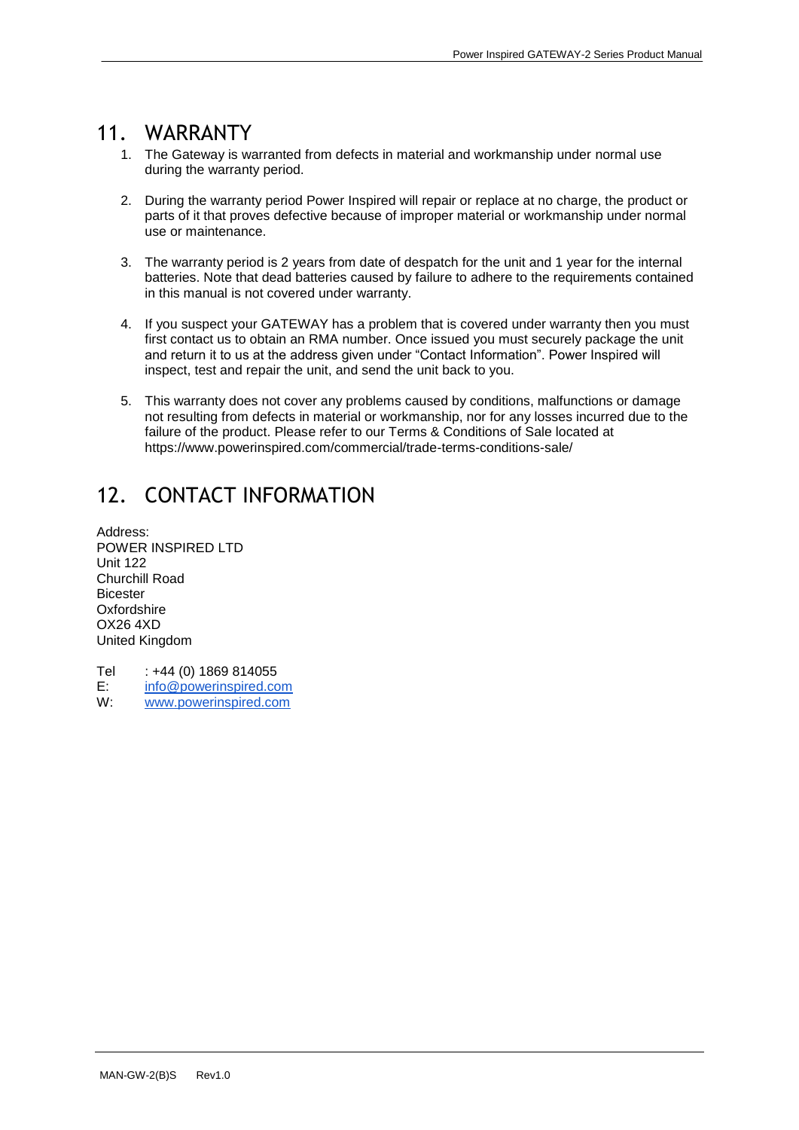#### 11. WARRANTY

- 1. The Gateway is warranted from defects in material and workmanship under normal use during the warranty period.
- 2. During the warranty period Power Inspired will repair or replace at no charge, the product or parts of it that proves defective because of improper material or workmanship under normal use or maintenance.
- 3. The warranty period is 2 years from date of despatch for the unit and 1 year for the internal batteries. Note that dead batteries caused by failure to adhere to the requirements contained in this manual is not covered under warranty.
- 4. If you suspect your GATEWAY has a problem that is covered under warranty then you must first contact us to obtain an RMA number. Once issued you must securely package the unit and return it to us at the address given under "Contact Information". Power Inspired will inspect, test and repair the unit, and send the unit back to you.
- 5. This warranty does not cover any problems caused by conditions, malfunctions or damage not resulting from defects in material or workmanship, nor for any losses incurred due to the failure of the product. Please refer to our Terms & Conditions of Sale located at https://www.powerinspired.com/commercial/trade-terms-conditions-sale/

## 12. CONTACT INFORMATION

Address: POWER INSPIRED LTD Unit 122 Churchill Road **Bicester Oxfordshire** OX26 4XD United Kingdom

Tel : +44 (0) 1869 814055 E: [info@powerinspired.com](mailto:info@powerinspired.com)<br>W: www.powerinspired.com [www.powerinspired.com](http://www.powerinspired.com/)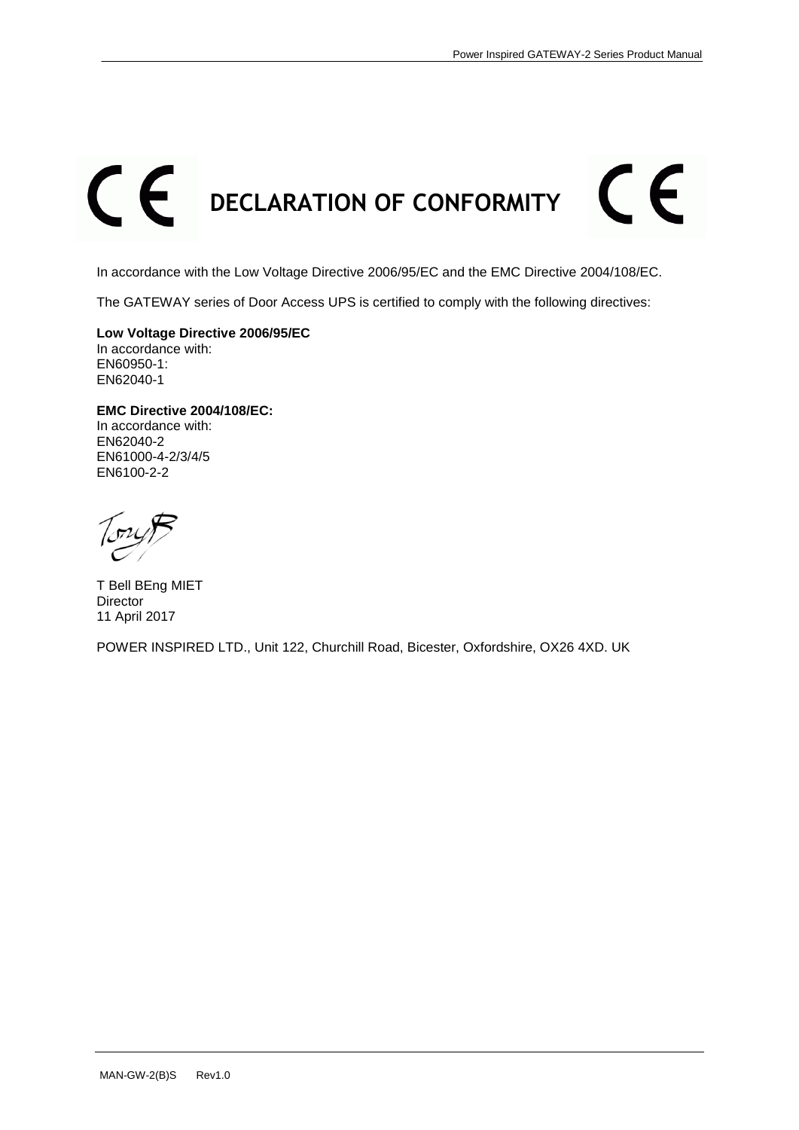# $\epsilon$  $\epsilon$ **DECLARATION OF CONFORMITY**

In accordance with the Low Voltage Directive 2006/95/EC and the EMC Directive 2004/108/EC.

The GATEWAY series of Door Access UPS is certified to comply with the following directives:

**Low Voltage Directive 2006/95/EC** In accordance with: EN60950-1: EN62040-1

**EMC Directive 2004/108/EC:** In accordance with: EN62040-2 EN61000-4-2/3/4/5 EN6100-2-2

T Bell BEng MIET Director 11 April 2017

POWER INSPIRED LTD., Unit 122, Churchill Road, Bicester, Oxfordshire, OX26 4XD. UK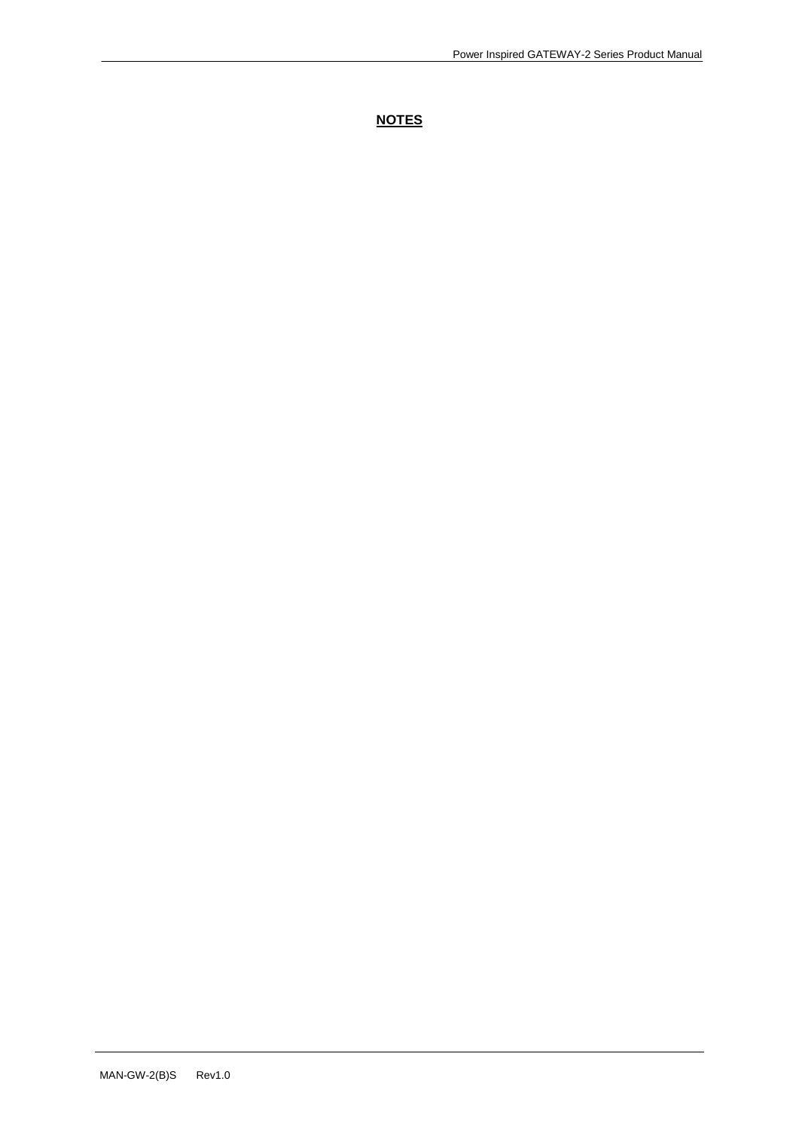#### **NOTES**